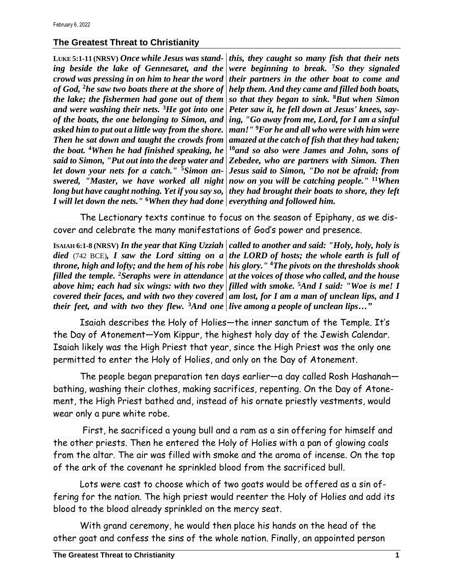## **The Greatest Threat to Christianity**

**LUKE 5:1-11 (NRSV)** *Once while Jesus was standing beside the lake of Gennesaret, and the crowd was pressing in on him to hear the word of God,* **<sup>2</sup>***he saw two boats there at the shore of the lake; the fishermen had gone out of them and were washing their nets.* **<sup>3</sup>***He got into one of the boats, the one belonging to Simon, and asked him to put out a little way from the shore. Then he sat down and taught the crowds from the boat.* **<sup>4</sup>***When he had finished speaking, he said to Simon, "Put out into the deep water and let down your nets for a catch."* **5***Simon answered, "Master, we have worked all night long but have caught nothing. Yet if you say so, I will let down the nets."* **<sup>6</sup>***When they had done everything and followed him.*

*this, they caught so many fish that their nets were beginning to break.* **<sup>7</sup>***So they signaled their partners in the other boat to come and help them. And they came and filled both boats, so that they began to sink.* **<sup>8</sup>***But when Simon Peter saw it, he fell down at Jesus' knees, saying, "Go away from me, Lord, for I am a sinful man!"* **<sup>9</sup>***For he and all who were with him were amazed at the catch of fish that they had taken;*  **<sup>10</sup>***and so also were James and John, sons of Zebedee, who are partners with Simon. Then Jesus said to Simon, "Do not be afraid; from now on you will be catching people."* **<sup>11</sup>***When they had brought their boats to shore, they left* 

The Lectionary texts continue to focus on the season of Epiphany, as we discover and celebrate the many manifestations of God's power and presence.

**ISAIAH 6:1-8 (NRSV)** *In the year that King Uzziah called to another and said: "Holy, holy, holy is died* (742 BCE)*, I saw the Lord sitting on a the LORD of hosts; the whole earth is full of throne, high and lofty; and the hem of his robe his glory."* **<sup>4</sup>***The pivots on the thresholds shook filled the temple.* **<sup>2</sup>***Seraphs were in attendance at the voices of those who called, and the house above him; each had six wings: with two they filled with smoke.* **<sup>5</sup>***And I said: "Woe is me! I covered their faces, and with two they covered am lost, for I am a man of unclean lips, and I their feet, and with two they flew.* **<sup>3</sup>***And one live among a people of unclean lips…"*

Isaiah describes the Holy of Holies—the inner sanctum of the Temple. It's the Day of Atonement—Yom Kippur, the highest holy day of the Jewish Calendar. Isaiah likely was the High Priest that year, since the High Priest was the only one permitted to enter the Holy of Holies, and only on the Day of Atonement.

The people began preparation ten days earlier—a day called Rosh Hashanah bathing, washing their clothes, making sacrifices, repenting. On the Day of Atonement, the High Priest bathed and, instead of his ornate priestly vestments, would wear only a pure white robe.

First, he sacrificed a young bull and a ram as a sin offering for himself and the other priests. Then he entered the Holy of Holies with a pan of glowing coals from the altar. The air was filled with smoke and the aroma of incense. On the top of the ark of the covenant he sprinkled blood from the sacrificed bull.

Lots were cast to choose which of two goats would be offered as a sin offering for the nation. The high priest would reenter the Holy of Holies and add its blood to the blood already sprinkled on the mercy seat.

With grand ceremony, he would then place his hands on the head of the other goat and confess the sins of the whole nation. Finally, an appointed person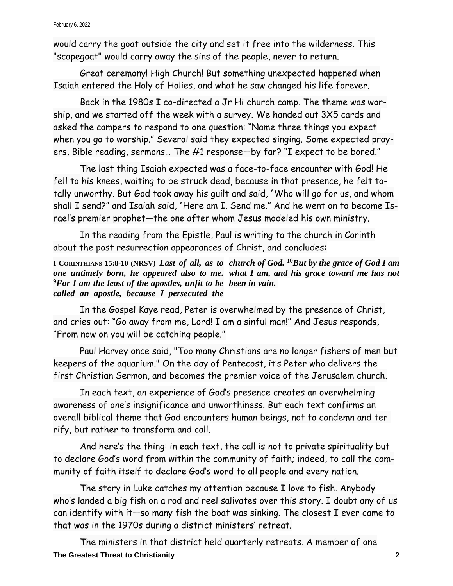February 6, 2022

would carry the goat outside the city and set it free into the wilderness. This "scapegoat" would carry away the sins of the people, never to return.

Great ceremony! High Church! But something unexpected happened when Isaiah entered the Holy of Holies, and what he saw changed his life forever.

Back in the 1980s I co-directed a Jr Hi church camp. The theme was worship, and we started off the week with a survey. We handed out 3X5 cards and asked the campers to respond to one question: "Name three things you expect when you go to worship." Several said they expected singing. Some expected prayers, Bible reading, sermons… The #1 response—by far? "I expect to be bored."

The last thing Isaiah expected was a face-to-face encounter with God! He fell to his knees, waiting to be struck dead, because in that presence, he felt totally unworthy. But God took away his guilt and said, "Who will go for us, and whom shall I send?" and Isaiah said, "Here am I. Send me." And he went on to become Israel's premier prophet—the one after whom Jesus modeled his own ministry.

In the reading from the Epistle, Paul is writing to the church in Corinth about the post resurrection appearances of Christ, and concludes:

**I CORINTHIANS 15:8-10 (NRSV)** *Last of all, as to church of God.* **<sup>10</sup>***But by the grace of God I am one untimely born, he appeared also to me. what I am, and his grace toward me has not*  **<sup>9</sup>***For I am the least of the apostles, unfit to be been in vain. called an apostle, because I persecuted the* 

In the Gospel Kaye read, Peter is overwhelmed by the presence of Christ, and cries out: "Go away from me, Lord! I am a sinful man!" And Jesus responds, "From now on you will be catching people."

Paul Harvey once said, "Too many Christians are no longer fishers of men but keepers of the aquarium." On the day of Pentecost, it's Peter who delivers the first Christian Sermon, and becomes the premier voice of the Jerusalem church.

In each text, an experience of God's presence creates an overwhelming awareness of one's insignificance and unworthiness. But each text confirms an overall biblical theme that God encounters human beings, not to condemn and terrify, but rather to transform and call.

And here's the thing: in each text, the call is not to private spirituality but to declare God's word from within the community of faith; indeed, to call the community of faith itself to declare God's word to all people and every nation.

The story in Luke catches my attention because I love to fish. Anybody who's landed a big fish on a rod and reel salivates over this story. I doubt any of us can identify with it—so many fish the boat was sinking. The closest I ever came to that was in the 1970s during a district ministers' retreat.

The ministers in that district held quarterly retreats. A member of one